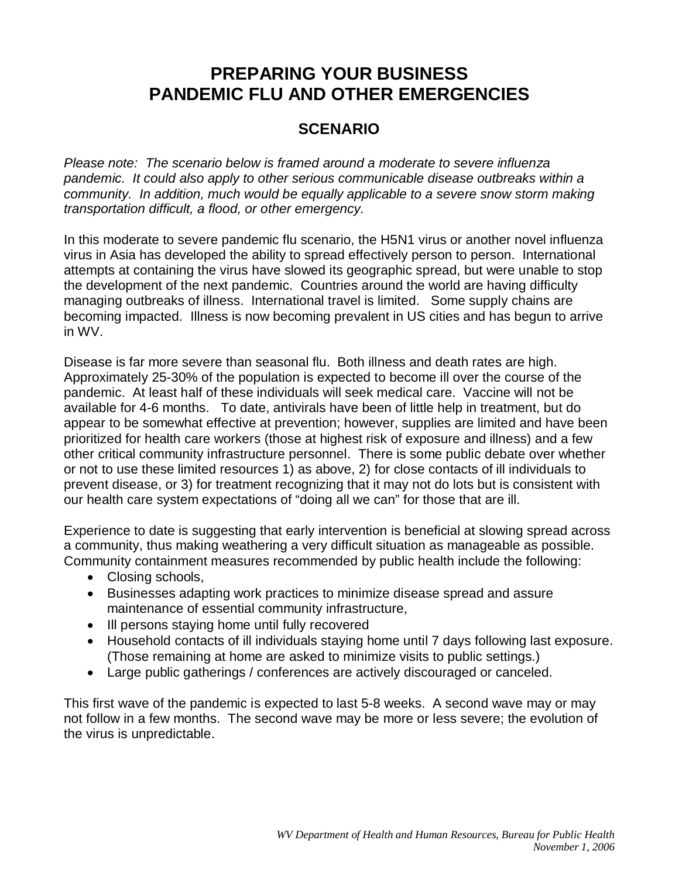### **SCENARIO**

*Please note: The scenario below is framed around a moderate to severe influenza pandemic. It could also apply to other serious communicable disease outbreaks within a community. In addition, much would be equally applicable to a severe snow storm making transportation difficult, a flood, or other emergency.*

In this moderate to severe pandemic flu scenario, the H5N1 virus or another novel influenza virus in Asia has developed the ability to spread effectively person to person. International attempts at containing the virus have slowed its geographic spread, but were unable to stop the development of the next pandemic. Countries around the world are having difficulty managing outbreaks of illness. International travel is limited. Some supply chains are becoming impacted. Illness is now becoming prevalent in US cities and has begun to arrive in WV.

Disease is far more severe than seasonal flu. Both illness and death rates are high. Approximately 25-30% of the population is expected to become ill over the course of the pandemic. At least half of these individuals will seek medical care. Vaccine will not be available for 4-6 months. To date, antivirals have been of little help in treatment, but do appear to be somewhat effective at prevention; however, supplies are limited and have been prioritized for health care workers (those at highest risk of exposure and illness) and a few other critical community infrastructure personnel. There is some public debate over whether or not to use these limited resources 1) as above, 2) for close contacts of ill individuals to prevent disease, or 3) for treatment recognizing that it may not do lots but is consistent with our health care system expectations of "doing all we can" for those that are ill.

Experience to date is suggesting that early intervention is beneficial at slowing spread across a community, thus making weathering a very difficult situation as manageable as possible. Community containment measures recommended by public health include the following:

- Closing schools,
- Businesses adapting work practices to minimize disease spread and assure maintenance of essential community infrastructure,
- Ill persons staying home until fully recovered
- Household contacts of ill individuals staying home until 7 days following last exposure. (Those remaining at home are asked to minimize visits to public settings.)
- Large public gatherings / conferences are actively discouraged or canceled.

This first wave of the pandemic is expected to last 5-8 weeks. A second wave may or may not follow in a few months. The second wave may be more or less severe; the evolution of the virus is unpredictable.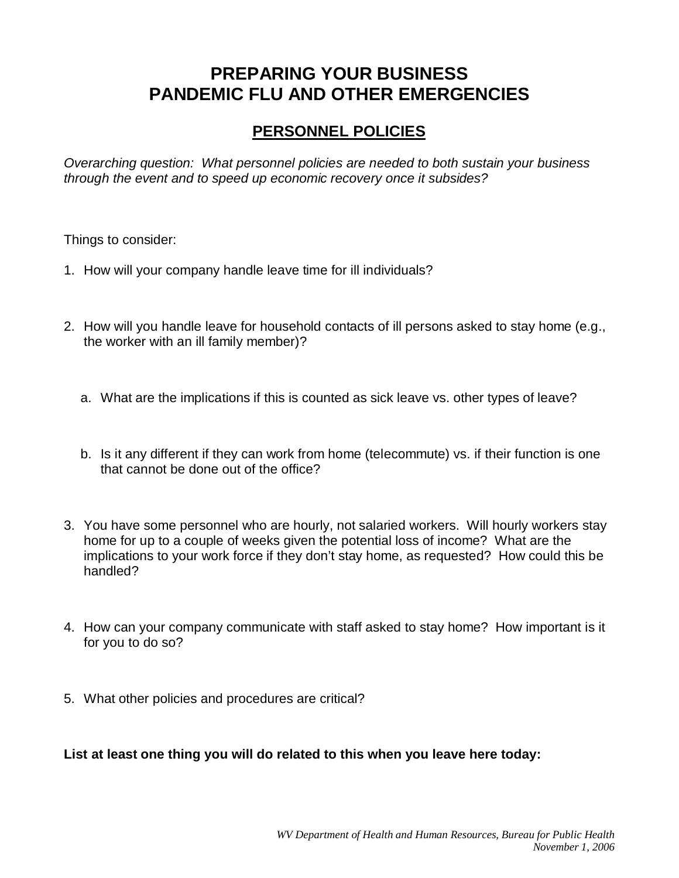## **PERSONNEL POLICIES**

*Overarching question: What personnel policies are needed to both sustain your business through the event and to speed up economic recovery once it subsides?*

Things to consider:

- 1. How will your company handle leave time for ill individuals?
- 2. How will you handle leave for household contacts of ill persons asked to stay home (e.g., the worker with an ill family member)?
	- a. What are the implications if this is counted as sick leave vs. other types of leave?
	- b. Is it any different if they can work from home (telecommute) vs. if their function is one that cannot be done out of the office?
- 3. You have some personnel who are hourly, not salaried workers. Will hourly workers stay home for up to a couple of weeks given the potential loss of income? What are the implications to your work force if they don't stay home, as requested? How could this be handled?
- 4. How can your company communicate with staff asked to stay home? How important is it for you to do so?
- 5. What other policies and procedures are critical?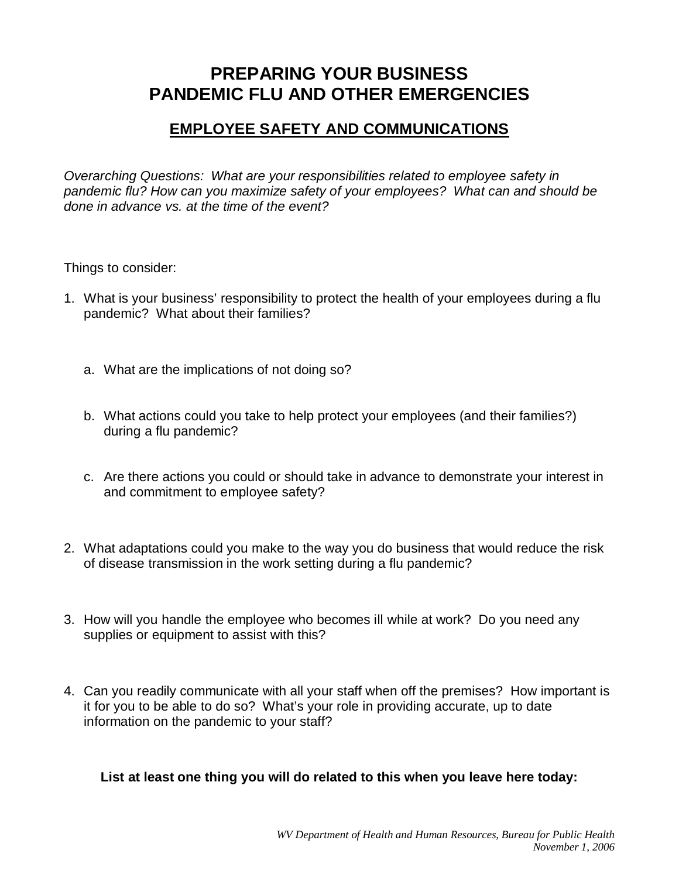## **EMPLOYEE SAFETY AND COMMUNICATIONS**

*Overarching Questions: What are your responsibilities related to employee safety in pandemic flu? How can you maximize safety of your employees? What can and should be done in advance vs. at the time of the event?*

Things to consider:

- 1. What is your business' responsibility to protect the health of your employees during a flu pandemic? What about their families?
	- a. What are the implications of not doing so?
	- b. What actions could you take to help protect your employees (and their families?) during a flu pandemic?
	- c. Are there actions you could or should take in advance to demonstrate your interest in and commitment to employee safety?
- 2. What adaptations could you make to the way you do business that would reduce the risk of disease transmission in the work setting during a flu pandemic?
- 3. How will you handle the employee who becomes ill while at work? Do you need any supplies or equipment to assist with this?
- 4. Can you readily communicate with all your staff when off the premises? How important is it for you to be able to do so? What's your role in providing accurate, up to date information on the pandemic to your staff?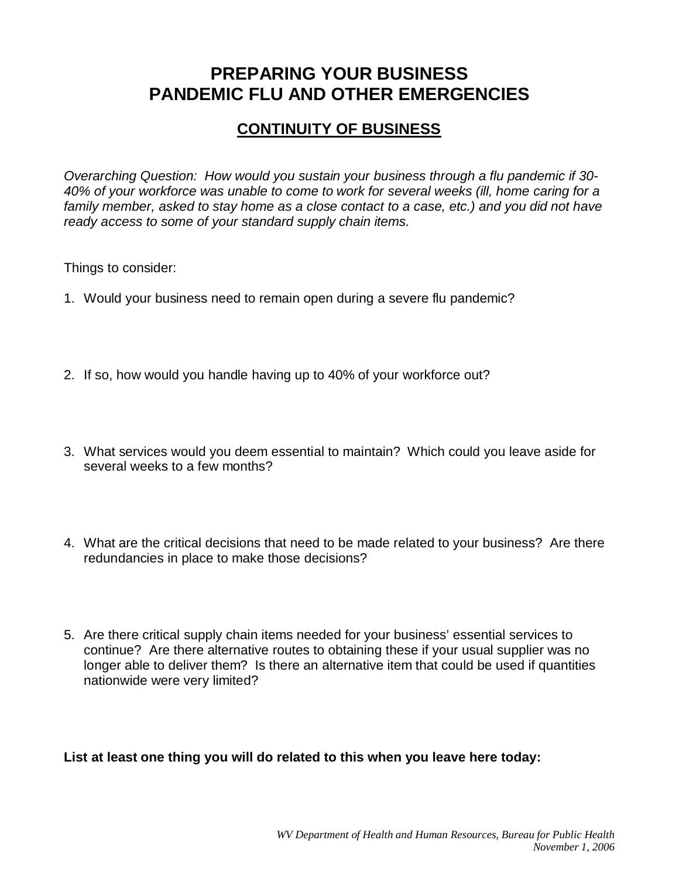## **CONTINUITY OF BUSINESS**

*Overarching Question: How would you sustain your business through a flu pandemic if 30- 40% of your workforce was unable to come to work for several weeks (ill, home caring for a family member, asked to stay home as a close contact to a case, etc.) and you did not have ready access to some of your standard supply chain items.*

Things to consider:

- 1. Would your business need to remain open during a severe flu pandemic?
- 2. If so, how would you handle having up to 40% of your workforce out?
- 3. What services would you deem essential to maintain? Which could you leave aside for several weeks to a few months?
- 4. What are the critical decisions that need to be made related to your business? Are there redundancies in place to make those decisions?
- 5. Are there critical supply chain items needed for your business' essential services to continue? Are there alternative routes to obtaining these if your usual supplier was no longer able to deliver them? Is there an alternative item that could be used if quantities nationwide were very limited?